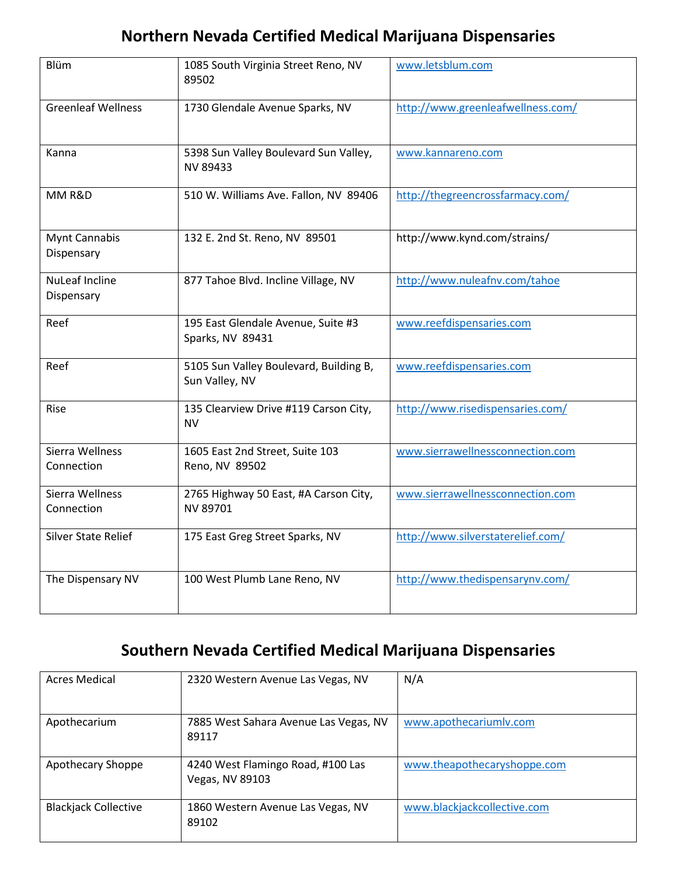## **Northern Nevada Certified Medical Marijuana Dispensaries**

| <b>Blüm</b>                         | 1085 South Virginia Street Reno, NV<br>89502             | www.letsblum.com                  |
|-------------------------------------|----------------------------------------------------------|-----------------------------------|
| <b>Greenleaf Wellness</b>           | 1730 Glendale Avenue Sparks, NV                          | http://www.greenleafwellness.com/ |
| Kanna                               | 5398 Sun Valley Boulevard Sun Valley,<br>NV 89433        | www.kannareno.com                 |
| MM R&D                              | 510 W. Williams Ave. Fallon, NV 89406                    | http://thegreencrossfarmacy.com/  |
| Mynt Cannabis<br>Dispensary         | 132 E. 2nd St. Reno, NV 89501                            | http://www.kynd.com/strains/      |
| <b>NuLeaf Incline</b><br>Dispensary | 877 Tahoe Blvd. Incline Village, NV                      | http://www.nuleafnv.com/tahoe     |
| Reef                                | 195 East Glendale Avenue, Suite #3<br>Sparks, NV 89431   | www.reefdispensaries.com          |
| Reef                                | 5105 Sun Valley Boulevard, Building B,<br>Sun Valley, NV | www.reefdispensaries.com          |
| Rise                                | 135 Clearview Drive #119 Carson City,<br><b>NV</b>       | http://www.risedispensaries.com/  |
| Sierra Wellness<br>Connection       | 1605 East 2nd Street, Suite 103<br>Reno, NV 89502        | www.sierrawellnessconnection.com  |
| Sierra Wellness<br>Connection       | 2765 Highway 50 East, #A Carson City,<br>NV 89701        | www.sierrawellnessconnection.com  |
| <b>Silver State Relief</b>          | 175 East Greg Street Sparks, NV                          | http://www.silverstaterelief.com/ |
| The Dispensary NV                   | 100 West Plumb Lane Reno, NV                             | http://www.thedispensarynv.com/   |

## **Southern Nevada Certified Medical Marijuana Dispensaries**

| <b>Acres Medical</b>        | 2320 Western Avenue Las Vegas, NV                    | N/A                         |
|-----------------------------|------------------------------------------------------|-----------------------------|
| Apothecarium                | 7885 West Sahara Avenue Las Vegas, NV<br>89117       | www.apothecariumly.com      |
| Apothecary Shoppe           | 4240 West Flamingo Road, #100 Las<br>Vegas, NV 89103 | www.theapothecaryshoppe.com |
| <b>Blackjack Collective</b> | 1860 Western Avenue Las Vegas, NV<br>89102           | www.blackjackcollective.com |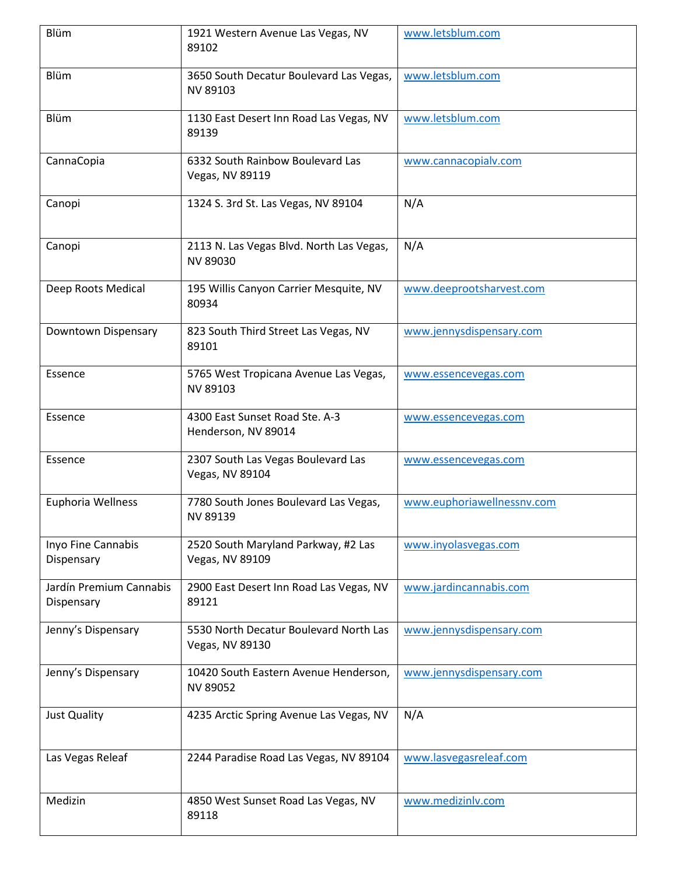| <b>Blüm</b>                           | 1921 Western Avenue Las Vegas, NV<br>89102                | www.letsblum.com           |
|---------------------------------------|-----------------------------------------------------------|----------------------------|
| <b>Blüm</b>                           | 3650 South Decatur Boulevard Las Vegas,<br>NV 89103       | www.letsblum.com           |
| <b>Blüm</b>                           | 1130 East Desert Inn Road Las Vegas, NV<br>89139          | www.letsblum.com           |
| CannaCopia                            | 6332 South Rainbow Boulevard Las<br>Vegas, NV 89119       | www.cannacopialv.com       |
| Canopi                                | 1324 S. 3rd St. Las Vegas, NV 89104                       | N/A                        |
| Canopi                                | 2113 N. Las Vegas Blvd. North Las Vegas,<br>NV 89030      | N/A                        |
| Deep Roots Medical                    | 195 Willis Canyon Carrier Mesquite, NV<br>80934           | www.deeprootsharvest.com   |
| Downtown Dispensary                   | 823 South Third Street Las Vegas, NV<br>89101             | www.jennysdispensary.com   |
| Essence                               | 5765 West Tropicana Avenue Las Vegas,<br>NV 89103         | www.essencevegas.com       |
| Essence                               | 4300 East Sunset Road Ste. A-3<br>Henderson, NV 89014     | www.essencevegas.com       |
| Essence                               | 2307 South Las Vegas Boulevard Las<br>Vegas, NV 89104     | www.essencevegas.com       |
| Euphoria Wellness                     | 7780 South Jones Boulevard Las Vegas,<br>NV 89139         | www.euphoriawellnessnv.com |
| Inyo Fine Cannabis<br>Dispensary      | 2520 South Maryland Parkway, #2 Las<br>Vegas, NV 89109    | www.inyolasvegas.com       |
| Jardín Premium Cannabis<br>Dispensary | 2900 East Desert Inn Road Las Vegas, NV<br>89121          | www.jardincannabis.com     |
| Jenny's Dispensary                    | 5530 North Decatur Boulevard North Las<br>Vegas, NV 89130 | www.jennysdispensary.com   |
| Jenny's Dispensary                    | 10420 South Eastern Avenue Henderson,<br>NV 89052         | www.jennysdispensary.com   |
| Just Quality                          | 4235 Arctic Spring Avenue Las Vegas, NV                   | N/A                        |
| Las Vegas Releaf                      | 2244 Paradise Road Las Vegas, NV 89104                    | www.lasvegasreleaf.com     |
| Medizin                               | 4850 West Sunset Road Las Vegas, NV<br>89118              | www.medizinly.com          |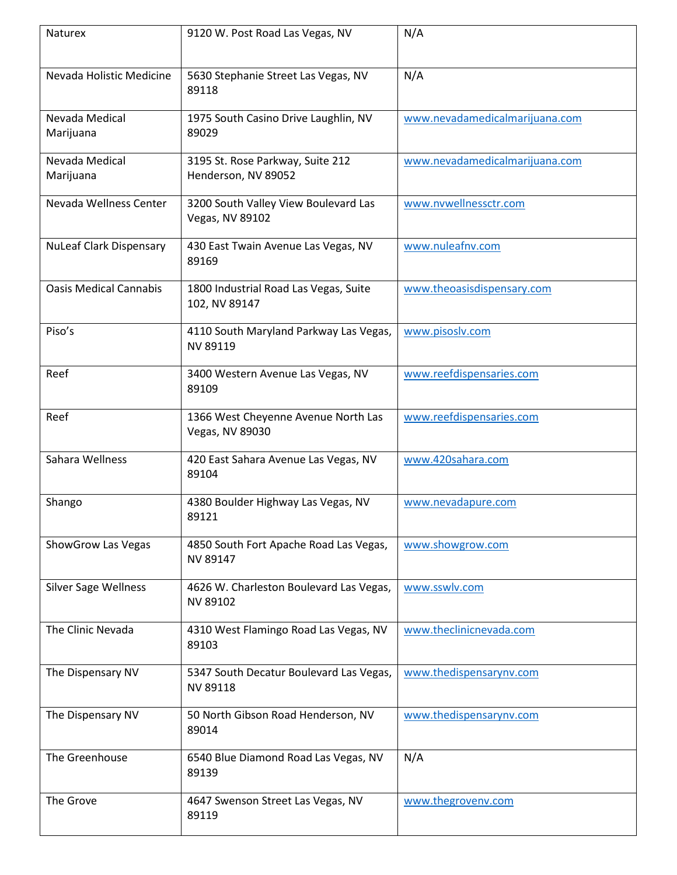| Naturex                        | 9120 W. Post Road Las Vegas, NV                         | N/A                            |
|--------------------------------|---------------------------------------------------------|--------------------------------|
| Nevada Holistic Medicine       | 5630 Stephanie Street Las Vegas, NV<br>89118            | N/A                            |
| Nevada Medical<br>Marijuana    | 1975 South Casino Drive Laughlin, NV<br>89029           | www.nevadamedicalmarijuana.com |
| Nevada Medical<br>Marijuana    | 3195 St. Rose Parkway, Suite 212<br>Henderson, NV 89052 | www.nevadamedicalmarijuana.com |
| Nevada Wellness Center         | 3200 South Valley View Boulevard Las<br>Vegas, NV 89102 | www.nvwellnessctr.com          |
| <b>NuLeaf Clark Dispensary</b> | 430 East Twain Avenue Las Vegas, NV<br>89169            | www.nuleafnv.com               |
| <b>Oasis Medical Cannabis</b>  | 1800 Industrial Road Las Vegas, Suite<br>102, NV 89147  | www.theoasisdispensary.com     |
| Piso's                         | 4110 South Maryland Parkway Las Vegas,<br>NV 89119      | www.pisoslv.com                |
| Reef                           | 3400 Western Avenue Las Vegas, NV<br>89109              | www.reefdispensaries.com       |
| Reef                           | 1366 West Cheyenne Avenue North Las<br>Vegas, NV 89030  | www.reefdispensaries.com       |
| Sahara Wellness                | 420 East Sahara Avenue Las Vegas, NV<br>89104           | www.420sahara.com              |
| Shango                         | 4380 Boulder Highway Las Vegas, NV<br>89121             | www.nevadapure.com             |
| <b>ShowGrow Las Vegas</b>      | 4850 South Fort Apache Road Las Vegas,<br>NV 89147      | www.showgrow.com               |
| Silver Sage Wellness           | 4626 W. Charleston Boulevard Las Vegas,<br>NV 89102     | www.sswlv.com                  |
| The Clinic Nevada              | 4310 West Flamingo Road Las Vegas, NV<br>89103          | www.theclinicnevada.com        |
| The Dispensary NV              | 5347 South Decatur Boulevard Las Vegas,<br>NV 89118     | www.thedispensarynv.com        |
| The Dispensary NV              | 50 North Gibson Road Henderson, NV<br>89014             | www.thedispensarynv.com        |
| The Greenhouse                 | 6540 Blue Diamond Road Las Vegas, NV<br>89139           | N/A                            |
| The Grove                      | 4647 Swenson Street Las Vegas, NV<br>89119              | www.thegrovenv.com             |